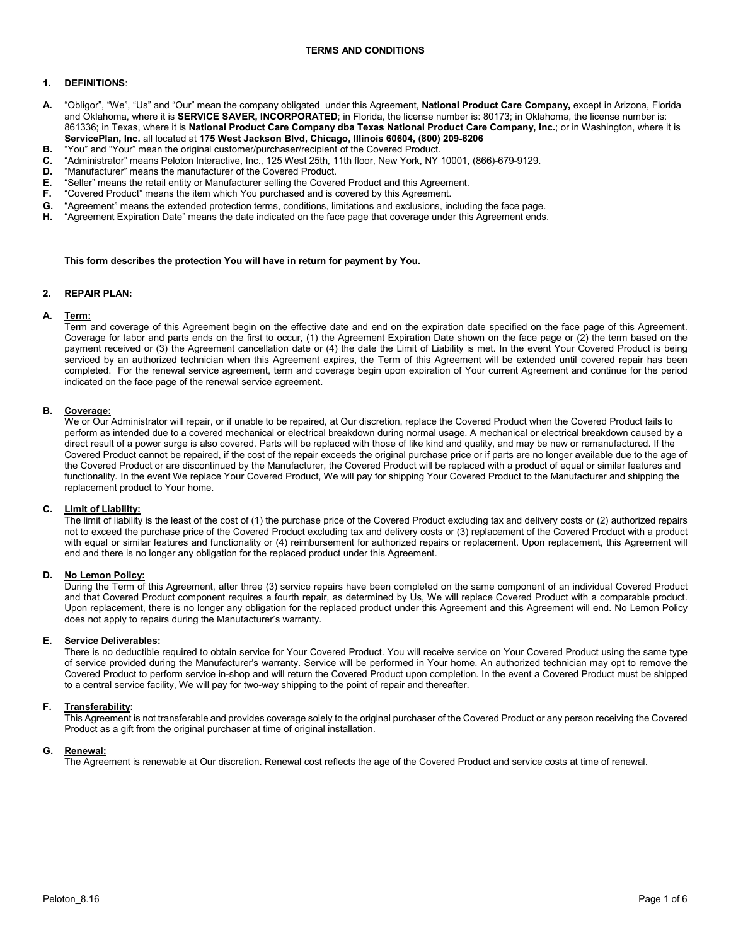## **TERMS AND CONDITIONS**

# **1. DEFINITIONS**:

- **A.** "Obligor", "We", "Us" and "Our" mean the company obligated under this Agreement, **National Product Care Company,** except in Arizona, Florida and Oklahoma, where it is **SERVICE SAVER, INCORPORATED**; in Florida, the license number is: 80173; in Oklahoma, the license number is: 861336; in Texas, where it is **National Product Care Company dba Texas National Product Care Company, Inc.**; or in Washington, where it is **ServicePlan, Inc.** all located at **175 West Jackson Blvd, Chicago, Illinois 60604, (800) 209-6206**
- **B.** "You" and "Your" mean the original customer/purchaser/recipient of the Covered Product.
- **C.** "Administrator" means Peloton Interactive, Inc., 125 West 25th, 11th floor, New York, NY 10001, (866)-679-9129.
- "Manufacturer" means the manufacturer of the Covered Product.
- **E.** "Seller" means the retail entity or Manufacturer selling the Covered Product and this Agreement.<br>**F.** "Covered Product" means the item which You purchased and is covered by this Agreement
- **F.** "Covered Product" means the item which You purchased and is covered by this Agreement.
- **G.** "Agreement" means the extended protection terms, conditions, limitations and exclusions, including the face page.
- **H.** "Agreement Expiration Date" means the date indicated on the face page that coverage under this Agreement ends.

#### **This form describes the protection You will have in return for payment by You.**

#### **2. REPAIR PLAN:**

## **A. Term:**

 Term and coverage of this Agreement begin on the effective date and end on the expiration date specified on the face page of this Agreement. Coverage for labor and parts ends on the first to occur, (1) the Agreement Expiration Date shown on the face page or (2) the term based on the payment received or (3) the Agreement cancellation date or (4) the date the Limit of Liability is met. In the event Your Covered Product is being serviced by an authorized technician when this Agreement expires, the Term of this Agreement will be extended until covered repair has been completed. For the renewal service agreement, term and coverage begin upon expiration of Your current Agreement and continue for the period indicated on the face page of the renewal service agreement.

## **B. Coverage:**

We or Our Administrator will repair, or if unable to be repaired, at Our discretion, replace the Covered Product when the Covered Product fails to perform as intended due to a covered mechanical or electrical breakdown during normal usage. A mechanical or electrical breakdown caused by a direct result of a power surge is also covered. Parts will be replaced with those of like kind and quality, and may be new or remanufactured. If the Covered Product cannot be repaired, if the cost of the repair exceeds the original purchase price or if parts are no longer available due to the age of the Covered Product or are discontinued by the Manufacturer, the Covered Product will be replaced with a product of equal or similar features and functionality. In the event We replace Your Covered Product, We will pay for shipping Your Covered Product to the Manufacturer and shipping the replacement product to Your home.

## **C. Limit of Liability:**

The limit of liability is the least of the cost of (1) the purchase price of the Covered Product excluding tax and delivery costs or (2) authorized repairs not to exceed the purchase price of the Covered Product excluding tax and delivery costs or (3) replacement of the Covered Product with a product with equal or similar features and functionality or (4) reimbursement for authorized repairs or replacement. Upon replacement, this Agreement will end and there is no longer any obligation for the replaced product under this Agreement.

#### **D. No Lemon Policy:**

During the Term of this Agreement, after three (3) service repairs have been completed on the same component of an individual Covered Product and that Covered Product component requires a fourth repair, as determined by Us, We will replace Covered Product with a comparable product. Upon replacement, there is no longer any obligation for the replaced product under this Agreement and this Agreement will end. No Lemon Policy does not apply to repairs during the Manufacturer's warranty.

# **E. Service Deliverables:**

There is no deductible required to obtain service for Your Covered Product. You will receive service on Your Covered Product using the same type of service provided during the Manufacturer's warranty. Service will be performed in Your home. An authorized technician may opt to remove the Covered Product to perform service in-shop and will return the Covered Product upon completion. In the event a Covered Product must be shipped to a central service facility, We will pay for two-way shipping to the point of repair and thereafter.

#### **F. Transferability:**

This Agreement is not transferable and provides coverage solely to the original purchaser of the Covered Product or any person receiving the Covered Product as a gift from the original purchaser at time of original installation.

#### **G. Renewal:**

The Agreement is renewable at Our discretion. Renewal cost reflects the age of the Covered Product and service costs at time of renewal.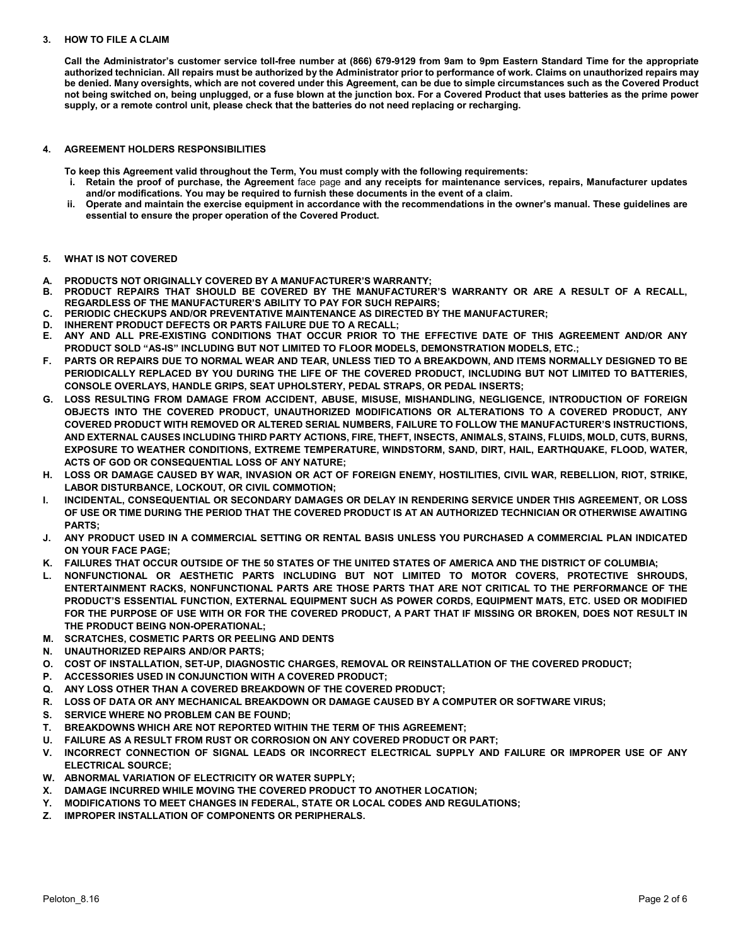# **3. HOW TO FILE A CLAIM**

**Call the Administrator's customer service toll-free number at (866) 679-9129 from 9am to 9pm Eastern Standard Time for the appropriate authorized technician. All repairs must be authorized by the Administrator prior to performance of work. Claims on unauthorized repairs may be denied. Many oversights, which are not covered under this Agreement, can be due to simple circumstances such as the Covered Product not being switched on, being unplugged, or a fuse blown at the junction box. For a Covered Product that uses batteries as the prime power supply, or a remote control unit, please check that the batteries do not need replacing or recharging.**

## **4. AGREEMENT HOLDERS RESPONSIBILITIES**

**To keep this Agreement valid throughout the Term, You must comply with the following requirements:** 

- **i. Retain the proof of purchase, the Agreement** face page **and any receipts for maintenance services, repairs, Manufacturer updates and/or modifications. You may be required to furnish these documents in the event of a claim.**
- **ii. Operate and maintain the exercise equipment in accordance with the recommendations in the owner's manual. These guidelines are essential to ensure the proper operation of the Covered Product.**

## **5. WHAT IS NOT COVERED**

- **A. PRODUCTS NOT ORIGINALLY COVERED BY A MANUFACTURER'S WARRANTY;**
- **B. PRODUCT REPAIRS THAT SHOULD BE COVERED BY THE MANUFACTURER'S WARRANTY OR ARE A RESULT OF A RECALL, REGARDLESS OF THE MANUFACTURER'S ABILITY TO PAY FOR SUCH REPAIRS;**
- **C. PERIODIC CHECKUPS AND/OR PREVENTATIVE MAINTENANCE AS DIRECTED BY THE MANUFACTURER;**
- **D. INHERENT PRODUCT DEFECTS OR PARTS FAILURE DUE TO A RECALL;**
- **E. ANY AND ALL PRE-EXISTING CONDITIONS THAT OCCUR PRIOR TO THE EFFECTIVE DATE OF THIS AGREEMENT AND/OR ANY PRODUCT SOLD "AS-IS" INCLUDING BUT NOT LIMITED TO FLOOR MODELS, DEMONSTRATION MODELS, ETC.;**
- **F. PARTS OR REPAIRS DUE TO NORMAL WEAR AND TEAR, UNLESS TIED TO A BREAKDOWN, AND ITEMS NORMALLY DESIGNED TO BE PERIODICALLY REPLACED BY YOU DURING THE LIFE OF THE COVERED PRODUCT, INCLUDING BUT NOT LIMITED TO BATTERIES, CONSOLE OVERLAYS, HANDLE GRIPS, SEAT UPHOLSTERY, PEDAL STRAPS, OR PEDAL INSERTS;**
- **G. LOSS RESULTING FROM DAMAGE FROM ACCIDENT, ABUSE, MISUSE, MISHANDLING, NEGLIGENCE, INTRODUCTION OF FOREIGN OBJECTS INTO THE COVERED PRODUCT, UNAUTHORIZED MODIFICATIONS OR ALTERATIONS TO A COVERED PRODUCT, ANY COVERED PRODUCT WITH REMOVED OR ALTERED SERIAL NUMBERS, FAILURE TO FOLLOW THE MANUFACTURER'S INSTRUCTIONS, AND EXTERNAL CAUSES INCLUDING THIRD PARTY ACTIONS, FIRE, THEFT, INSECTS, ANIMALS, STAINS, FLUIDS, MOLD, CUTS, BURNS, EXPOSURE TO WEATHER CONDITIONS, EXTREME TEMPERATURE, WINDSTORM, SAND, DIRT, HAIL, EARTHQUAKE, FLOOD, WATER, ACTS OF GOD OR CONSEQUENTIAL LOSS OF ANY NATURE;**
- **H. LOSS OR DAMAGE CAUSED BY WAR, INVASION OR ACT OF FOREIGN ENEMY, HOSTILITIES, CIVIL WAR, REBELLION, RIOT, STRIKE, LABOR DISTURBANCE, LOCKOUT, OR CIVIL COMMOTION;**
- **I. INCIDENTAL, CONSEQUENTIAL OR SECONDARY DAMAGES OR DELAY IN RENDERING SERVICE UNDER THIS AGREEMENT, OR LOSS OF USE OR TIME DURING THE PERIOD THAT THE COVERED PRODUCT IS AT AN AUTHORIZED TECHNICIAN OR OTHERWISE AWAITING PARTS;**
- **J. ANY PRODUCT USED IN A COMMERCIAL SETTING OR RENTAL BASIS UNLESS YOU PURCHASED A COMMERCIAL PLAN INDICATED ON YOUR FACE PAGE;**
- **K. FAILURES THAT OCCUR OUTSIDE OF THE 50 STATES OF THE UNITED STATES OF AMERICA AND THE DISTRICT OF COLUMBIA;**
- **L. NONFUNCTIONAL OR AESTHETIC PARTS INCLUDING BUT NOT LIMITED TO MOTOR COVERS, PROTECTIVE SHROUDS, ENTERTAINMENT RACKS, NONFUNCTIONAL PARTS ARE THOSE PARTS THAT ARE NOT CRITICAL TO THE PERFORMANCE OF THE PRODUCT'S ESSENTIAL FUNCTION, EXTERNAL EQUIPMENT SUCH AS POWER CORDS, EQUIPMENT MATS, ETC. USED OR MODIFIED FOR THE PURPOSE OF USE WITH OR FOR THE COVERED PRODUCT, A PART THAT IF MISSING OR BROKEN, DOES NOT RESULT IN THE PRODUCT BEING NON-OPERATIONAL;**
- **M. SCRATCHES, COSMETIC PARTS OR PEELING AND DENTS**
- **N. UNAUTHORIZED REPAIRS AND/OR PARTS;**
- **O. COST OF INSTALLATION, SET-UP, DIAGNOSTIC CHARGES, REMOVAL OR REINSTALLATION OF THE COVERED PRODUCT;**
- **P. ACCESSORIES USED IN CONJUNCTION WITH A COVERED PRODUCT;**
- **Q. ANY LOSS OTHER THAN A COVERED BREAKDOWN OF THE COVERED PRODUCT;**
- **R. LOSS OF DATA OR ANY MECHANICAL BREAKDOWN OR DAMAGE CAUSED BY A COMPUTER OR SOFTWARE VIRUS;**
- **S. SERVICE WHERE NO PROBLEM CAN BE FOUND;**
- **T. BREAKDOWNS WHICH ARE NOT REPORTED WITHIN THE TERM OF THIS AGREEMENT;**
- **U. FAILURE AS A RESULT FROM RUST OR CORROSION ON ANY COVERED PRODUCT OR PART;**
- **V. INCORRECT CONNECTION OF SIGNAL LEADS OR INCORRECT ELECTRICAL SUPPLY AND FAILURE OR IMPROPER USE OF ANY ELECTRICAL SOURCE;**
- **W. ABNORMAL VARIATION OF ELECTRICITY OR WATER SUPPLY;**
- **X. DAMAGE INCURRED WHILE MOVING THE COVERED PRODUCT TO ANOTHER LOCATION;**
- **Y. MODIFICATIONS TO MEET CHANGES IN FEDERAL, STATE OR LOCAL CODES AND REGULATIONS;**
- **Z. IMPROPER INSTALLATION OF COMPONENTS OR PERIPHERALS.**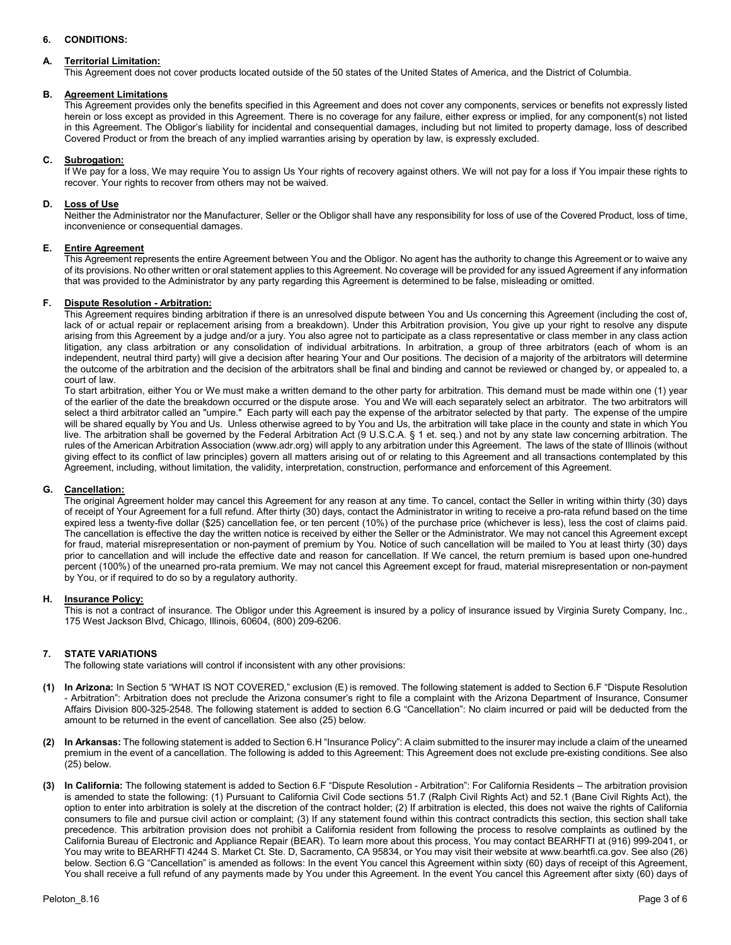# **6. CONDITIONS:**

## **A. Territorial Limitation:**

This Agreement does not cover products located outside of the 50 states of the United States of America, and the District of Columbia.

### **B. Agreement Limitations**

This Agreement provides only the benefits specified in this Agreement and does not cover any components, services or benefits not expressly listed herein or loss except as provided in this Agreement. There is no coverage for any failure, either express or implied, for any component(s) not listed in this Agreement. The Obligor's liability for incidental and consequential damages, including but not limited to property damage, loss of described Covered Product or from the breach of any implied warranties arising by operation by law, is expressly excluded.

#### **C. Subrogation:**

If We pay for a loss, We may require You to assign Us Your rights of recovery against others. We will not pay for a loss if You impair these rights to recover. Your rights to recover from others may not be waived.

#### **D. Loss of Use**

Neither the Administrator nor the Manufacturer, Seller or the Obligor shall have any responsibility for loss of use of the Covered Product, loss of time, inconvenience or consequential damages.

#### **E. Entire Agreement**

This Agreement represents the entire Agreement between You and the Obligor. No agent has the authority to change this Agreement or to waive any of its provisions. No other written or oral statement applies to this Agreement. No coverage will be provided for any issued Agreement if any information that was provided to the Administrator by any party regarding this Agreement is determined to be false, misleading or omitted.

## **F. Dispute Resolution - Arbitration:**

This Agreement requires binding arbitration if there is an unresolved dispute between You and Us concerning this Agreement (including the cost of, lack of or actual repair or replacement arising from a breakdown). Under this Arbitration provision, You give up your right to resolve any dispute arising from this Agreement by a judge and/or a jury. You also agree not to participate as a class representative or class member in any class action litigation, any class arbitration or any consolidation of individual arbitrations. In arbitration, a group of three arbitrators (each of whom is an independent, neutral third party) will give a decision after hearing Your and Our positions. The decision of a majority of the arbitrators will determine the outcome of the arbitration and the decision of the arbitrators shall be final and binding and cannot be reviewed or changed by, or appealed to, a court of law.

To start arbitration, either You or We must make a written demand to the other party for arbitration. This demand must be made within one (1) year of the earlier of the date the breakdown occurred or the dispute arose. You and We will each separately select an arbitrator. The two arbitrators will select a third arbitrator called an "umpire." Each party will each pay the expense of the arbitrator selected by that party. The expense of the umpire will be shared equally by You and Us. Unless otherwise agreed to by You and Us, the arbitration will take place in the county and state in which You live. The arbitration shall be governed by the Federal Arbitration Act (9 U.S.C.A. § 1 et. seq.) and not by any state law concerning arbitration. The rules of the American Arbitration Association (www.adr.org) will apply to any arbitration under this Agreement. The laws of the state of Illinois (without giving effect to its conflict of law principles) govern all matters arising out of or relating to this Agreement and all transactions contemplated by this Agreement, including, without limitation, the validity, interpretation, construction, performance and enforcement of this Agreement.

#### **G. Cancellation:**

The original Agreement holder may cancel this Agreement for any reason at any time. To cancel, contact the Seller in writing within thirty (30) days of receipt of Your Agreement for a full refund. After thirty (30) days, contact the Administrator in writing to receive a pro-rata refund based on the time expired less a twenty-five dollar (\$25) cancellation fee, or ten percent (10%) of the purchase price (whichever is less), less the cost of claims paid. The cancellation is effective the day the written notice is received by either the Seller or the Administrator. We may not cancel this Agreement except for fraud, material misrepresentation or non-payment of premium by You. Notice of such cancellation will be mailed to You at least thirty (30) days prior to cancellation and will include the effective date and reason for cancellation. If We cancel, the return premium is based upon one-hundred percent (100%) of the unearned pro-rata premium. We may not cancel this Agreement except for fraud, material misrepresentation or non-payment by You, or if required to do so by a regulatory authority.

#### **H. Insurance Policy:**

This is not a contract of insurance. The Obligor under this Agreement is insured by a policy of insurance issued by Virginia Surety Company, Inc., 175 West Jackson Blvd, Chicago, Illinois, 60604, (800) 209-6206.

## **7. STATE VARIATIONS**

The following state variations will control if inconsistent with any other provisions:

- **(1) In Arizona:** In Section 5 "WHAT IS NOT COVERED," exclusion (E) is removed. The following statement is added to Section 6.F "Dispute Resolution - Arbitration": Arbitration does not preclude the Arizona consumer's right to file a complaint with the Arizona Department of Insurance, Consumer Affairs Division 800-325-2548. The following statement is added to section 6.G "Cancellation": No claim incurred or paid will be deducted from the amount to be returned in the event of cancellation. See also (25) below.
- **(2) In Arkansas:** The following statement is added to Section 6.H "Insurance Policy": A claim submitted to the insurer may include a claim of the unearned premium in the event of a cancellation. The following is added to this Agreement: This Agreement does not exclude pre-existing conditions. See also (25) below.
- **(3) In California:** The following statement is added to Section 6.F "Dispute Resolution Arbitration": For California Residents The arbitration provision is amended to state the following: (1) Pursuant to California Civil Code sections 51.7 (Ralph Civil Rights Act) and 52.1 (Bane Civil Rights Act), the option to enter into arbitration is solely at the discretion of the contract holder; (2) If arbitration is elected, this does not waive the rights of California consumers to file and pursue civil action or complaint; (3) If any statement found within this contract contradicts this section, this section shall take precedence. This arbitration provision does not prohibit a California resident from following the process to resolve complaints as outlined by the California Bureau of Electronic and Appliance Repair (BEAR). To learn more about this process, You may contact BEARHFTI at (916) 999-2041, or You may write to BEARHFTI 4244 S. Market Ct. Ste. D, Sacramento, CA 95834, or You may visit their website at www.bearhtfi.ca.gov. See also (26) below. Section 6.G "Cancellation" is amended as follows: In the event You cancel this Agreement within sixty (60) days of receipt of this Agreement, You shall receive a full refund of any payments made by You under this Agreement. In the event You cancel this Agreement after sixty (60) days of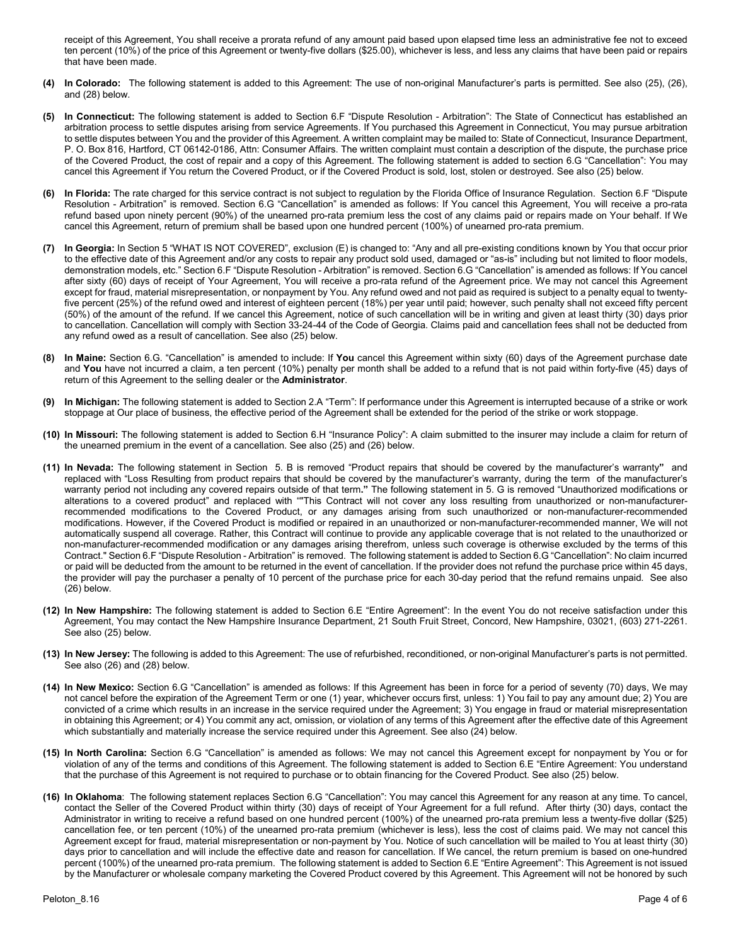receipt of this Agreement, You shall receive a prorata refund of any amount paid based upon elapsed time less an administrative fee not to exceed ten percent (10%) of the price of this Agreement or twenty-five dollars (\$25.00), whichever is less, and less any claims that have been paid or repairs that have been made.

- **(4) In Colorado:** The following statement is added to this Agreement: The use of non-original Manufacturer's parts is permitted. See also (25), (26), and (28) below.
- **(5) In Connecticut:** The following statement is added to Section 6.F "Dispute Resolution Arbitration": The State of Connecticut has established an arbitration process to settle disputes arising from service Agreements. If You purchased this Agreement in Connecticut, You may pursue arbitration to settle disputes between You and the provider of this Agreement. A written complaint may be mailed to: State of Connecticut, Insurance Department, P. O. Box 816, Hartford, CT 06142-0186, Attn: Consumer Affairs. The written complaint must contain a description of the dispute, the purchase price of the Covered Product, the cost of repair and a copy of this Agreement. The following statement is added to section 6.G "Cancellation": You may cancel this Agreement if You return the Covered Product, or if the Covered Product is sold, lost, stolen or destroyed. See also (25) below.
- **(6) In Florida:** The rate charged for this service contract is not subject to regulation by the Florida Office of Insurance Regulation. Section 6.F "Dispute Resolution - Arbitration" is removed. Section 6.G "Cancellation" is amended as follows: If You cancel this Agreement, You will receive a pro-rata refund based upon ninety percent (90%) of the unearned pro-rata premium less the cost of any claims paid or repairs made on Your behalf. If We cancel this Agreement, return of premium shall be based upon one hundred percent (100%) of unearned pro-rata premium.
- **(7) In Georgia:** In Section 5 "WHAT IS NOT COVERED", exclusion (E) is changed to: "Any and all pre-existing conditions known by You that occur prior to the effective date of this Agreement and/or any costs to repair any product sold used, damaged or "as-is" including but not limited to floor models, demonstration models, etc." Section 6.F "Dispute Resolution - Arbitration" is removed. Section 6.G "Cancellation" is amended as follows: If You cancel after sixty (60) days of receipt of Your Agreement, You will receive a pro-rata refund of the Agreement price. We may not cancel this Agreement except for fraud, material misrepresentation, or nonpayment by You. Any refund owed and not paid as required is subject to a penalty equal to twentyfive percent (25%) of the refund owed and interest of eighteen percent (18%) per year until paid; however, such penalty shall not exceed fifty percent (50%) of the amount of the refund. If we cancel this Agreement, notice of such cancellation will be in writing and given at least thirty (30) days prior to cancellation. Cancellation will comply with Section 33-24-44 of the Code of Georgia. Claims paid and cancellation fees shall not be deducted from any refund owed as a result of cancellation. See also (25) below.
- **(8) In Maine:** Section 6.G. "Cancellation" is amended to include: If **You** cancel this Agreement within sixty (60) days of the Agreement purchase date and **You** have not incurred a claim, a ten percent (10%) penalty per month shall be added to a refund that is not paid within forty-five (45) days of return of this Agreement to the selling dealer or the **Administrator**.
- **(9) In Michigan:** The following statement is added to Section 2.A "Term": If performance under this Agreement is interrupted because of a strike or work stoppage at Our place of business, the effective period of the Agreement shall be extended for the period of the strike or work stoppage.
- **(10) In Missouri:** The following statement is added to Section 6.H "Insurance Policy": A claim submitted to the insurer may include a claim for return of the unearned premium in the event of a cancellation. See also (25) and (26) below.
- **(11) In Nevada:** The following statement in Section 5. B is removed "Product repairs that should be covered by the manufacturer's warranty**"** and replaced with "Loss Resulting from product repairs that should be covered by the manufacturer's warranty, during the term of the manufacturer's warranty period not including any covered repairs outside of that term**."** The following statement in 5. G is removed "Unauthorized modifications or alterations to a covered product" and replaced with ""This Contract will not cover any loss resulting from unauthorized or non-manufacturerrecommended modifications to the Covered Product, or any damages arising from such unauthorized or non-manufacturer-recommended modifications. However, if the Covered Product is modified or repaired in an unauthorized or non-manufacturer-recommended manner, We will not automatically suspend all coverage. Rather, this Contract will continue to provide any applicable coverage that is not related to the unauthorized or non-manufacturer-recommended modification or any damages arising therefrom, unless such coverage is otherwise excluded by the terms of this Contract." Section 6.F "Dispute Resolution - Arbitration" is removed. The following statement is added to Section 6.G "Cancellation": No claim incurred or paid will be deducted from the amount to be returned in the event of cancellation. If the provider does not refund the purchase price within 45 days, the provider will pay the purchaser a penalty of 10 percent of the purchase price for each 30-day period that the refund remains unpaid. See also (26) below.
- **(12) In New Hampshire:** The following statement is added to Section 6.E "Entire Agreement": In the event You do not receive satisfaction under this Agreement, You may contact the New Hampshire Insurance Department, 21 South Fruit Street, Concord, New Hampshire, 03021, (603) 271-2261. See also (25) below.
- **(13) In New Jersey:** The following is added to this Agreement: The use of refurbished, reconditioned, or non-original Manufacturer's parts is not permitted. See also (26) and (28) below.
- **(14) In New Mexico:** Section 6.G "Cancellation" is amended as follows: If this Agreement has been in force for a period of seventy (70) days, We may not cancel before the expiration of the Agreement Term or one (1) year, whichever occurs first, unless: 1) You fail to pay any amount due; 2) You are convicted of a crime which results in an increase in the service required under the Agreement; 3) You engage in fraud or material misrepresentation in obtaining this Agreement; or 4) You commit any act, omission, or violation of any terms of this Agreement after the effective date of this Agreement which substantially and materially increase the service required under this Agreement. See also (24) below.
- **(15) In North Carolina:** Section 6.G "Cancellation" is amended as follows: We may not cancel this Agreement except for nonpayment by You or for violation of any of the terms and conditions of this Agreement. The following statement is added to Section 6.E "Entire Agreement: You understand that the purchase of this Agreement is not required to purchase or to obtain financing for the Covered Product. See also (25) below.
- **(16) In Oklahoma**: The following statement replaces Section 6.G "Cancellation": You may cancel this Agreement for any reason at any time. To cancel, contact the Seller of the Covered Product within thirty (30) days of receipt of Your Agreement for a full refund. After thirty (30) days, contact the Administrator in writing to receive a refund based on one hundred percent (100%) of the unearned pro-rata premium less a twenty-five dollar (\$25) cancellation fee, or ten percent (10%) of the unearned pro-rata premium (whichever is less), less the cost of claims paid. We may not cancel this Agreement except for fraud, material misrepresentation or non-payment by You. Notice of such cancellation will be mailed to You at least thirty (30) days prior to cancellation and will include the effective date and reason for cancellation. If We cancel, the return premium is based on one-hundred percent (100%) of the unearned pro-rata premium. The following statement is added to Section 6.E "Entire Agreement": This Agreement is not issued by the Manufacturer or wholesale company marketing the Covered Product covered by this Agreement. This Agreement will not be honored by such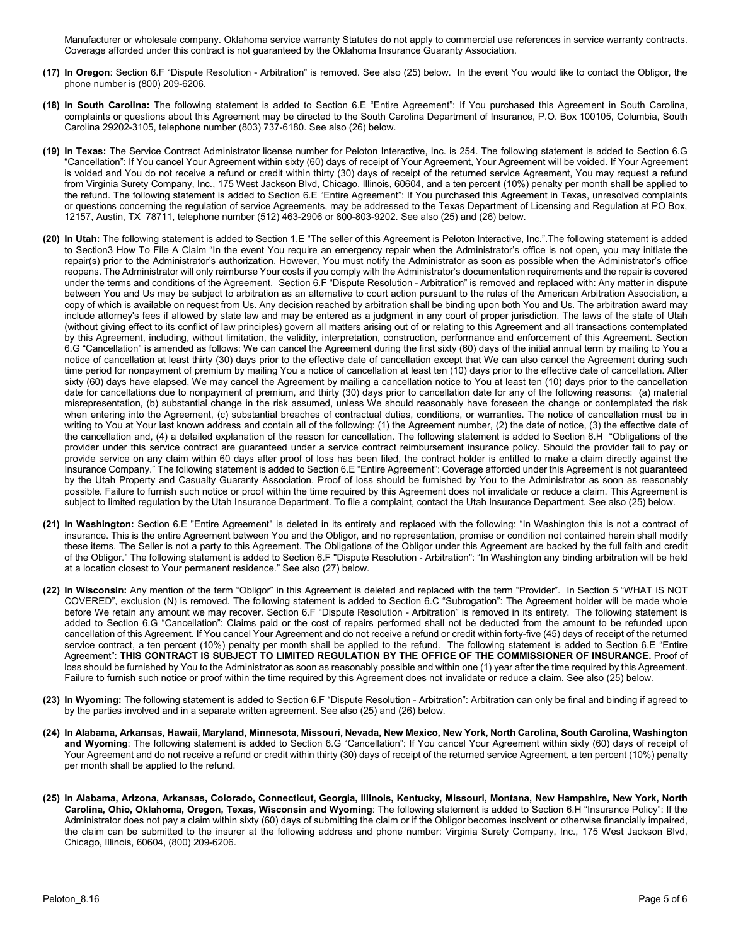Manufacturer or wholesale company. Oklahoma service warranty Statutes do not apply to commercial use references in service warranty contracts. Coverage afforded under this contract is not guaranteed by the Oklahoma Insurance Guaranty Association.

- **(17) In Oregon**: Section 6.F "Dispute Resolution Arbitration" is removed. See also (25) below. In the event You would like to contact the Obligor, the phone number is (800) 209-6206.
- **(18) In South Carolina:** The following statement is added to Section 6.E "Entire Agreement": If You purchased this Agreement in South Carolina, complaints or questions about this Agreement may be directed to the South Carolina Department of Insurance, P.O. Box 100105, Columbia, South Carolina 29202-3105, telephone number (803) 737-6180. See also (26) below.
- **(19) In Texas:** The Service Contract Administrator license number for Peloton Interactive, Inc. is 254. The following statement is added to Section 6.G "Cancellation": If You cancel Your Agreement within sixty (60) days of receipt of Your Agreement, Your Agreement will be voided. If Your Agreement is voided and You do not receive a refund or credit within thirty (30) days of receipt of the returned service Agreement, You may request a refund from Virginia Surety Company, Inc., 175 West Jackson Blvd, Chicago, Illinois, 60604, and a ten percent (10%) penalty per month shall be applied to the refund. The following statement is added to Section 6.E "Entire Agreement": If You purchased this Agreement in Texas, unresolved complaints or questions concerning the regulation of service Agreements, may be addressed to the Texas Department of Licensing and Regulation at PO Box, 12157, Austin, TX 78711, telephone number (512) 463-2906 or 800-803-9202. See also (25) and (26) below.
- **(20) In Utah:** The following statement is added to Section 1.E "The seller of this Agreement is Peloton Interactive, Inc.".The following statement is added to Section3 How To File A Claim "In the event You require an emergency repair when the Administrator's office is not open, you may initiate the repair(s) prior to the Administrator's authorization. However, You must notify the Administrator as soon as possible when the Administrator's office reopens. The Administrator will only reimburse Your costs if you comply with the Administrator's documentation requirements and the repair is covered under the terms and conditions of the Agreement. Section 6.F "Dispute Resolution - Arbitration" is removed and replaced with: Any matter in dispute between You and Us may be subject to arbitration as an alternative to court action pursuant to the rules of the American Arbitration Association, a copy of which is available on request from Us. Any decision reached by arbitration shall be binding upon both You and Us. The arbitration award may include attorney's fees if allowed by state law and may be entered as a judgment in any court of proper jurisdiction. The laws of the state of Utah (without giving effect to its conflict of law principles) govern all matters arising out of or relating to this Agreement and all transactions contemplated by this Agreement, including, without limitation, the validity, interpretation, construction, performance and enforcement of this Agreement. Section 6.G "Cancellation" is amended as follows: We can cancel the Agreement during the first sixty (60) days of the initial annual term by mailing to You a notice of cancellation at least thirty (30) days prior to the effective date of cancellation except that We can also cancel the Agreement during such time period for nonpayment of premium by mailing You a notice of cancellation at least ten (10) days prior to the effective date of cancellation. After sixty (60) days have elapsed, We may cancel the Agreement by mailing a cancellation notice to You at least ten (10) days prior to the cancellation date for cancellations due to nonpayment of premium, and thirty (30) days prior to cancellation date for any of the following reasons: (a) material misrepresentation, (b) substantial change in the risk assumed, unless We should reasonably have foreseen the change or contemplated the risk when entering into the Agreement, (c) substantial breaches of contractual duties, conditions, or warranties. The notice of cancellation must be in writing to You at Your last known address and contain all of the following: (1) the Agreement number, (2) the date of notice, (3) the effective date of the cancellation and, (4) a detailed explanation of the reason for cancellation. The following statement is added to Section 6.H "Obligations of the provider under this service contract are guaranteed under a service contract reimbursement insurance policy. Should the provider fail to pay or provide service on any claim within 60 days after proof of loss has been filed, the contract holder is entitled to make a claim directly against the Insurance Company." The following statement is added to Section 6.E "Entire Agreement": Coverage afforded under this Agreement is not guaranteed by the Utah Property and Casualty Guaranty Association. Proof of loss should be furnished by You to the Administrator as soon as reasonably possible. Failure to furnish such notice or proof within the time required by this Agreement does not invalidate or reduce a claim. This Agreement is subject to limited regulation by the Utah Insurance Department. To file a complaint, contact the Utah Insurance Department. See also (25) below.
- **(21) In Washington:** Section 6.E "Entire Agreement" is deleted in its entirety and replaced with the following: "In Washington this is not a contract of insurance. This is the entire Agreement between You and the Obligor, and no representation, promise or condition not contained herein shall modify these items. The Seller is not a party to this Agreement. The Obligations of the Obligor under this Agreement are backed by the full faith and credit of the Obligor." The following statement is added to Section 6.F "Dispute Resolution - Arbitration": "In Washington any binding arbitration will be held at a location closest to Your permanent residence." See also (27) below.
- **(22) In Wisconsin:** Any mention of the term "Obligor" in this Agreement is deleted and replaced with the term "Provider". In Section 5 "WHAT IS NOT COVERED", exclusion (N) is removed. The following statement is added to Section 6.C "Subrogation": The Agreement holder will be made whole before We retain any amount we may recover. Section 6.F "Dispute Resolution - Arbitration" is removed in its entirety. The following statement is added to Section 6.G "Cancellation": Claims paid or the cost of repairs performed shall not be deducted from the amount to be refunded upon cancellation of this Agreement. If You cancel Your Agreement and do not receive a refund or credit within forty-five (45) days of receipt of the returned service contract, a ten percent (10%) penalty per month shall be applied to the refund. The following statement is added to Section 6.E "Entire Agreement": **THIS CONTRACT IS SUBJECT TO LIMITED REGULATION BY THE OFFICE OF THE COMMISSIONER OF INSURANCE.** Proof of loss should be furnished by You to the Administrator as soon as reasonably possible and within one (1) year after the time required by this Agreement. Failure to furnish such notice or proof within the time required by this Agreement does not invalidate or reduce a claim. See also (25) below.
- **(23) In Wyoming:** The following statement is added to Section 6.F "Dispute Resolution Arbitration": Arbitration can only be final and binding if agreed to by the parties involved and in a separate written agreement. See also (25) and (26) below.
- **(24) In Alabama, Arkansas, Hawaii, Maryland, Minnesota, Missouri, Nevada, New Mexico, New York, North Carolina, South Carolina, Washington and Wyoming**: The following statement is added to Section 6.G "Cancellation": If You cancel Your Agreement within sixty (60) days of receipt of Your Agreement and do not receive a refund or credit within thirty (30) days of receipt of the returned service Agreement, a ten percent (10%) penalty per month shall be applied to the refund.
- **(25) In Alabama, Arizona, Arkansas, Colorado, Connecticut, Georgia, Illinois, Kentucky, Missouri, Montana, New Hampshire, New York, North Carolina, Ohio, Oklahoma, Oregon, Texas, Wisconsin and Wyoming**: The following statement is added to Section 6.H "Insurance Policy": If the Administrator does not pay a claim within sixty (60) days of submitting the claim or if the Obligor becomes insolvent or otherwise financially impaired, the claim can be submitted to the insurer at the following address and phone number: Virginia Surety Company, Inc., 175 West Jackson Blvd, Chicago, Illinois, 60604, (800) 209-6206.